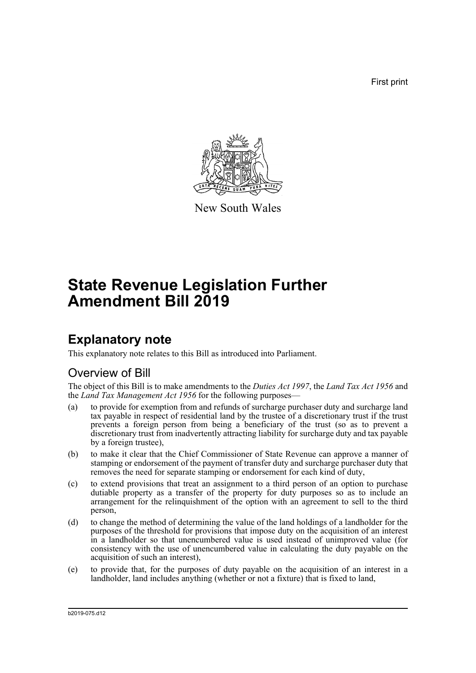First print



New South Wales

# **State Revenue Legislation Further Amendment Bill 2019**

# **Explanatory note**

This explanatory note relates to this Bill as introduced into Parliament.

# Overview of Bill

The object of this Bill is to make amendments to the *Duties Act 1997*, the *Land Tax Act 1956* and the *Land Tax Management Act 1956* for the following purposes—

- (a) to provide for exemption from and refunds of surcharge purchaser duty and surcharge land tax payable in respect of residential land by the trustee of a discretionary trust if the trust prevents a foreign person from being a beneficiary of the trust (so as to prevent a discretionary trust from inadvertently attracting liability for surcharge duty and tax payable by a foreign trustee),
- (b) to make it clear that the Chief Commissioner of State Revenue can approve a manner of stamping or endorsement of the payment of transfer duty and surcharge purchaser duty that removes the need for separate stamping or endorsement for each kind of duty,
- (c) to extend provisions that treat an assignment to a third person of an option to purchase dutiable property as a transfer of the property for duty purposes so as to include an arrangement for the relinquishment of the option with an agreement to sell to the third person,
- (d) to change the method of determining the value of the land holdings of a landholder for the purposes of the threshold for provisions that impose duty on the acquisition of an interest in a landholder so that unencumbered value is used instead of unimproved value (for consistency with the use of unencumbered value in calculating the duty payable on the acquisition of such an interest),
- (e) to provide that, for the purposes of duty payable on the acquisition of an interest in a landholder, land includes anything (whether or not a fixture) that is fixed to land,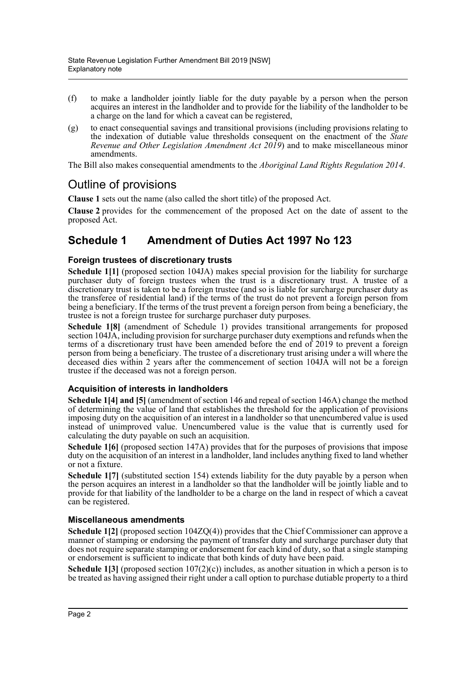- (f) to make a landholder jointly liable for the duty payable by a person when the person acquires an interest in the landholder and to provide for the liability of the landholder to be a charge on the land for which a caveat can be registered,
- (g) to enact consequential savings and transitional provisions (including provisions relating to the indexation of dutiable value thresholds consequent on the enactment of the *State Revenue and Other Legislation Amendment Act 2019*) and to make miscellaneous minor amendments.

The Bill also makes consequential amendments to the *Aboriginal Land Rights Regulation 2014*.

# Outline of provisions

**Clause 1** sets out the name (also called the short title) of the proposed Act.

**Clause 2** provides for the commencement of the proposed Act on the date of assent to the proposed Act.

# **Schedule 1 Amendment of Duties Act 1997 No 123**

### **Foreign trustees of discretionary trusts**

**Schedule 1[1]** (proposed section 104JA) makes special provision for the liability for surcharge purchaser duty of foreign trustees when the trust is a discretionary trust. A trustee of a discretionary trust is taken to be a foreign trustee (and so is liable for surcharge purchaser duty as the transferee of residential land) if the terms of the trust do not prevent a foreign person from being a beneficiary. If the terms of the trust prevent a foreign person from being a beneficiary, the trustee is not a foreign trustee for surcharge purchaser duty purposes.

**Schedule 1[8]** (amendment of Schedule 1) provides transitional arrangements for proposed section 104JA, including provision for surcharge purchaser duty exemptions and refunds when the terms of a discretionary trust have been amended before the end of 2019 to prevent a foreign person from being a beneficiary. The trustee of a discretionary trust arising under a will where the deceased dies within 2 years after the commencement of section 104JA will not be a foreign trustee if the deceased was not a foreign person.

### **Acquisition of interests in landholders**

**Schedule 1[4] and [5]** (amendment of section 146 and repeal of section 146A) change the method of determining the value of land that establishes the threshold for the application of provisions imposing duty on the acquisition of an interest in a landholder so that unencumbered value is used instead of unimproved value. Unencumbered value is the value that is currently used for calculating the duty payable on such an acquisition.

**Schedule 1[6]** (proposed section 147A) provides that for the purposes of provisions that impose duty on the acquisition of an interest in a landholder, land includes anything fixed to land whether or not a fixture.

**Schedule 1[7]** (substituted section 154) extends liability for the duty payable by a person when the person acquires an interest in a landholder so that the landholder will be jointly liable and to provide for that liability of the landholder to be a charge on the land in respect of which a caveat can be registered.

### **Miscellaneous amendments**

**Schedule 1[2]** (proposed section 104ZQ(4)) provides that the Chief Commissioner can approve a manner of stamping or endorsing the payment of transfer duty and surcharge purchaser duty that does not require separate stamping or endorsement for each kind of duty, so that a single stamping or endorsement is sufficient to indicate that both kinds of duty have been paid.

**Schedule 1[3]** (proposed section  $107(2)(c)$ ) includes, as another situation in which a person is to be treated as having assigned their right under a call option to purchase dutiable property to a third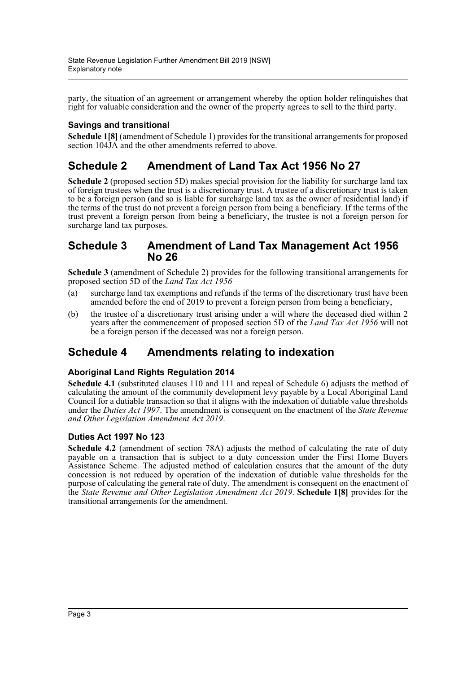party, the situation of an agreement or arrangement whereby the option holder relinquishes that right for valuable consideration and the owner of the property agrees to sell to the third party.

## **Savings and transitional**

**Schedule 1[8]** (amendment of Schedule 1) provides for the transitional arrangements for proposed section 104JA and the other amendments referred to above.

# **Schedule 2 Amendment of Land Tax Act 1956 No 27**

**Schedule 2** (proposed section 5D) makes special provision for the liability for surcharge land tax of foreign trustees when the trust is a discretionary trust. A trustee of a discretionary trust is taken to be a foreign person (and so is liable for surcharge land tax as the owner of residential land) if the terms of the trust do not prevent a foreign person from being a beneficiary. If the terms of the trust prevent a foreign person from being a beneficiary, the trustee is not a foreign person for surcharge land tax purposes.

## **Schedule 3 Amendment of Land Tax Management Act 1956 No 26**

**Schedule 3** (amendment of Schedule 2) provides for the following transitional arrangements for proposed section 5D of the *Land Tax Act 1956*—

- (a) surcharge land tax exemptions and refunds if the terms of the discretionary trust have been amended before the end of 2019 to prevent a foreign person from being a beneficiary,
- (b) the trustee of a discretionary trust arising under a will where the deceased died within 2 years after the commencement of proposed section 5D of the *Land Tax Act 1956* will not be a foreign person if the deceased was not a foreign person.

# **Schedule 4 Amendments relating to indexation**

### **Aboriginal Land Rights Regulation 2014**

**Schedule 4.1** (substituted clauses 110 and 111 and repeal of Schedule 6) adjusts the method of calculating the amount of the community development levy payable by a Local Aboriginal Land Council for a dutiable transaction so that it aligns with the indexation of dutiable value thresholds under the *Duties Act 1997*. The amendment is consequent on the enactment of the *State Revenue and Other Legislation Amendment Act 2019*.

## **Duties Act 1997 No 123**

**Schedule 4.2** (amendment of section 78A) adjusts the method of calculating the rate of duty payable on a transaction that is subject to a duty concession under the First Home Buyers Assistance Scheme. The adjusted method of calculation ensures that the amount of the duty concession is not reduced by operation of the indexation of dutiable value thresholds for the purpose of calculating the general rate of duty. The amendment is consequent on the enactment of the *State Revenue and Other Legislation Amendment Act 2019*. **Schedule 1[8]** provides for the transitional arrangements for the amendment.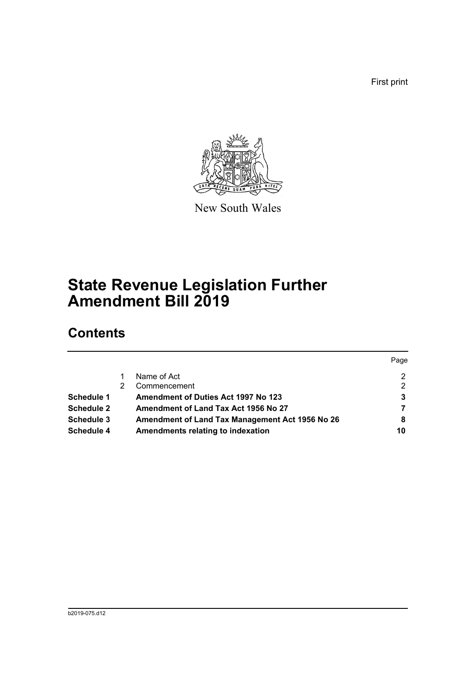First print



New South Wales

# **State Revenue Legislation Further Amendment Bill 2019**

# **Contents**

|                   |                                                 | Page |
|-------------------|-------------------------------------------------|------|
|                   | Name of Act                                     | 2    |
|                   | Commencement                                    | 2    |
| <b>Schedule 1</b> | <b>Amendment of Duties Act 1997 No 123</b>      | 3    |
| <b>Schedule 2</b> | Amendment of Land Tax Act 1956 No 27            | 7    |
| Schedule 3        | Amendment of Land Tax Management Act 1956 No 26 | 8    |
| <b>Schedule 4</b> | Amendments relating to indexation               | 10   |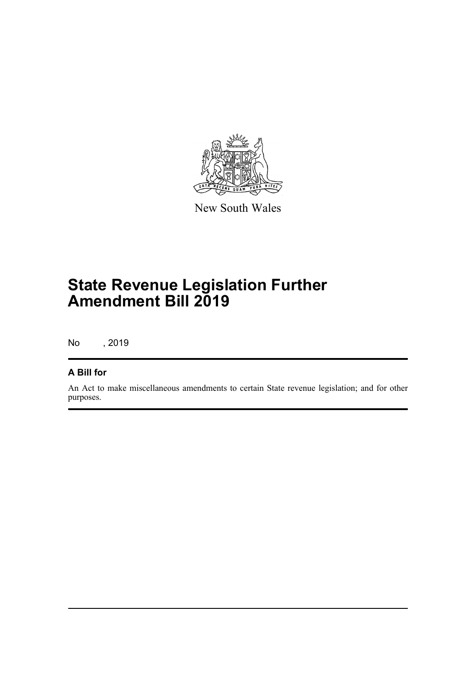

New South Wales

# **State Revenue Legislation Further Amendment Bill 2019**

No , 2019

## **A Bill for**

An Act to make miscellaneous amendments to certain State revenue legislation; and for other purposes.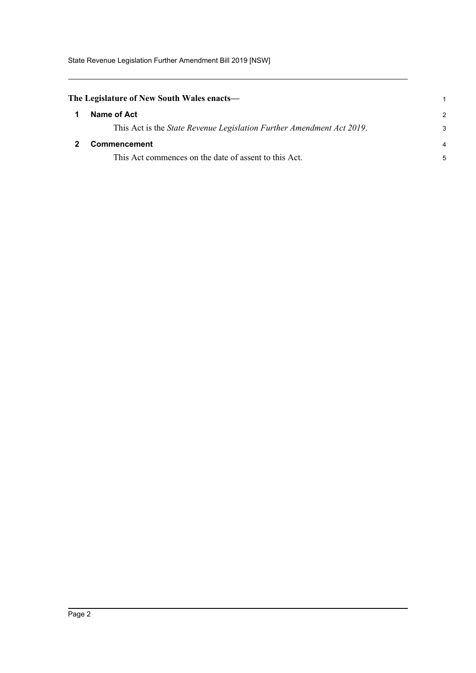State Revenue Legislation Further Amendment Bill 2019 [NSW]

<span id="page-5-1"></span><span id="page-5-0"></span>

| The Legislature of New South Wales enacts— |                                                                               |                |
|--------------------------------------------|-------------------------------------------------------------------------------|----------------|
|                                            | Name of Act                                                                   | $\mathcal{P}$  |
|                                            | This Act is the <i>State Revenue Legislation Further Amendment Act 2019</i> . | 3              |
|                                            | <b>Commencement</b>                                                           | $\overline{a}$ |
|                                            | This Act commences on the date of assent to this Act.                         | 5              |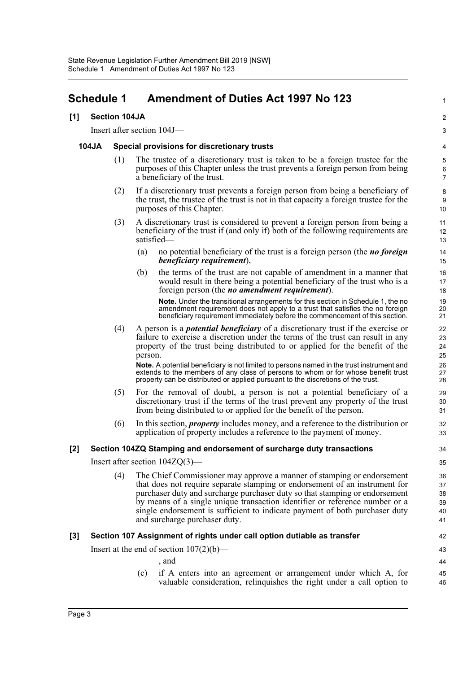# <span id="page-6-0"></span>**Schedule 1 Amendment of Duties Act 1997 No 123**

#### **[1] Section 104JA**

Insert after section 104J—

#### **104JA Special provisions for discretionary trusts**

(1) The trustee of a discretionary trust is taken to be a foreign trustee for the purposes of this Chapter unless the trust prevents a foreign person from being a beneficiary of the trust.

1

42 43

46

- (2) If a discretionary trust prevents a foreign person from being a beneficiary of the trust, the trustee of the trust is not in that capacity a foreign trustee for the purposes of this Chapter.
- (3) A discretionary trust is considered to prevent a foreign person from being a beneficiary of the trust if (and only if) both of the following requirements are satisfied—
	- (a) no potential beneficiary of the trust is a foreign person (the *no foreign beneficiary requirement*),
	- (b) the terms of the trust are not capable of amendment in a manner that would result in there being a potential beneficiary of the trust who is a foreign person (the *no amendment requirement*).

**Note.** Under the transitional arrangements for this section in Schedule 1, the no amendment requirement does not apply to a trust that satisfies the no foreign beneficiary requirement immediately before the commencement of this section.

(4) A person is a *potential beneficiary* of a discretionary trust if the exercise or failure to exercise a discretion under the terms of the trust can result in any property of the trust being distributed to or applied for the benefit of the person.

**Note.** A potential beneficiary is not limited to persons named in the trust instrument and extends to the members of any class of persons to whom or for whose benefit trust property can be distributed or applied pursuant to the discretions of the trust.

- (5) For the removal of doubt, a person is not a potential beneficiary of a discretionary trust if the terms of the trust prevent any property of the trust from being distributed to or applied for the benefit of the person.
- (6) In this section, *property* includes money, and a reference to the distribution or application of property includes a reference to the payment of money.

### **[2] Section 104ZQ Stamping and endorsement of surcharge duty transactions**

Insert after section 104ZQ(3)—

(4) The Chief Commissioner may approve a manner of stamping or endorsement that does not require separate stamping or endorsement of an instrument for purchaser duty and surcharge purchaser duty so that stamping or endorsement by means of a single unique transaction identifier or reference number or a single endorsement is sufficient to indicate payment of both purchaser duty and surcharge purchaser duty.

### **[3] Section 107 Assignment of rights under call option dutiable as transfer**

Insert at the end of section  $107(2)(b)$ —

, and (c) if A enters into an agreement or arrangement under which A, for 44 45

valuable consideration, relinquishes the right under a call option to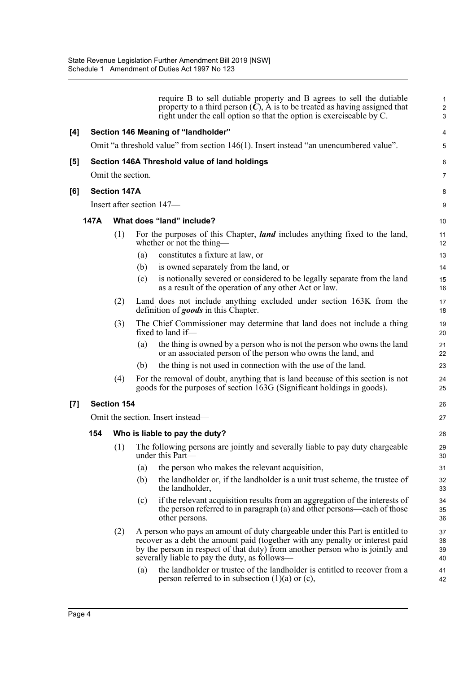|     |      |                     |     | require B to sell dutiable property and B agrees to sell the dutiable<br>property to a third person $(C)$ , A is to be treated as having assigned that<br>right under the call option so that the option is exerciseable by C.                                                                   | $\mathbf{1}$<br>2<br>3 |
|-----|------|---------------------|-----|--------------------------------------------------------------------------------------------------------------------------------------------------------------------------------------------------------------------------------------------------------------------------------------------------|------------------------|
| [4] |      |                     |     | Section 146 Meaning of "landholder"                                                                                                                                                                                                                                                              | 4                      |
|     |      |                     |     | Omit "a threshold value" from section 146(1). Insert instead "an unencumbered value".                                                                                                                                                                                                            | 5                      |
| [5] |      |                     |     | Section 146A Threshold value of land holdings                                                                                                                                                                                                                                                    | 6                      |
|     |      | Omit the section.   |     |                                                                                                                                                                                                                                                                                                  | $\overline{7}$         |
| [6] |      | <b>Section 147A</b> |     |                                                                                                                                                                                                                                                                                                  | 8                      |
|     |      |                     |     | Insert after section 147-                                                                                                                                                                                                                                                                        | 9                      |
|     | 147A |                     |     | What does "land" include?                                                                                                                                                                                                                                                                        | 10                     |
|     |      | (1)                 |     | For the purposes of this Chapter, <i>land</i> includes anything fixed to the land,<br>whether or not the thing—                                                                                                                                                                                  | 11<br>12               |
|     |      |                     | (a) | constitutes a fixture at law, or                                                                                                                                                                                                                                                                 | 13                     |
|     |      |                     | (b) | is owned separately from the land, or                                                                                                                                                                                                                                                            | 14                     |
|     |      |                     | (c) | is notionally severed or considered to be legally separate from the land<br>as a result of the operation of any other Act or law.                                                                                                                                                                | 15<br>16               |
|     |      | (2)                 |     | Land does not include anything excluded under section 163K from the<br>definition of goods in this Chapter.                                                                                                                                                                                      | 17<br>18               |
|     |      | (3)                 |     | The Chief Commissioner may determine that land does not include a thing<br>fixed to land if-                                                                                                                                                                                                     | 19<br>20               |
|     |      |                     | (a) | the thing is owned by a person who is not the person who owns the land<br>or an associated person of the person who owns the land, and                                                                                                                                                           | 21<br>22               |
|     |      |                     | (b) | the thing is not used in connection with the use of the land.                                                                                                                                                                                                                                    | 23                     |
|     |      | (4)                 |     | For the removal of doubt, anything that is land because of this section is not<br>goods for the purposes of section 163G (Significant holdings in goods).                                                                                                                                        | 24<br>25               |
| [7] |      | <b>Section 154</b>  |     |                                                                                                                                                                                                                                                                                                  | 26                     |
|     |      |                     |     | Omit the section. Insert instead—                                                                                                                                                                                                                                                                | 27                     |
|     | 154  |                     |     | Who is liable to pay the duty?                                                                                                                                                                                                                                                                   | 28                     |
|     |      | (1)                 |     | The following persons are jointly and severally liable to pay duty chargeable<br>under this Part-                                                                                                                                                                                                | 29<br>30               |
|     |      |                     | (a) | the person who makes the relevant acquisition,                                                                                                                                                                                                                                                   | 31                     |
|     |      |                     | (b) | the landholder or, if the landholder is a unit trust scheme, the trustee of<br>the landholder,                                                                                                                                                                                                   | 32<br>33               |
|     |      |                     | (c) | if the relevant acquisition results from an aggregation of the interests of<br>the person referred to in paragraph (a) and other persons—each of those<br>other persons.                                                                                                                         | 34<br>35<br>36         |
|     |      | (2)                 |     | A person who pays an amount of duty chargeable under this Part is entitled to<br>recover as a debt the amount paid (together with any penalty or interest paid<br>by the person in respect of that duty) from another person who is jointly and<br>severally liable to pay the duty, as follows— | 37<br>38<br>39<br>40   |
|     |      |                     | (a) | the landholder or trustee of the landholder is entitled to recover from a<br>person referred to in subsection $(1)(a)$ or $(c)$ ,                                                                                                                                                                | 41<br>42               |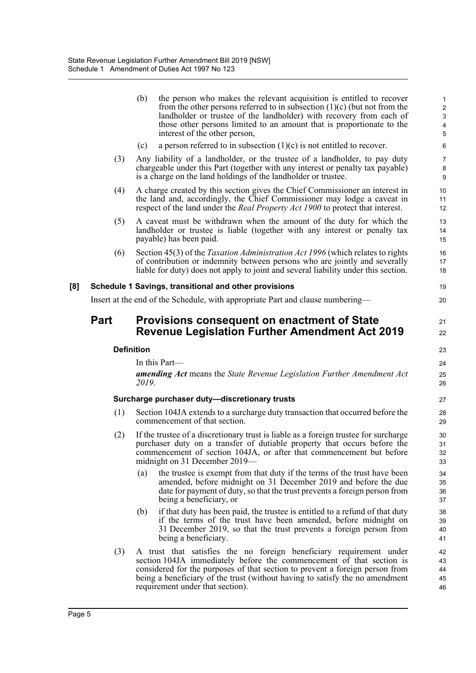|     |      | (b)<br>the person who makes the relevant acquisition is entitled to recover<br>from the other persons referred to in subsection $(1)(c)$ (but not from the<br>landholder or trustee of the landholder) with recovery from each of<br>those other persons limited to an amount that is proportionate to the<br>interest of the other person,     | $\mathbf{1}$<br>$\overline{c}$<br>$\ensuremath{\mathsf{3}}$<br>$\pmb{4}$<br>5 |
|-----|------|-------------------------------------------------------------------------------------------------------------------------------------------------------------------------------------------------------------------------------------------------------------------------------------------------------------------------------------------------|-------------------------------------------------------------------------------|
|     |      | a person referred to in subsection $(1)(c)$ is not entitled to recover.<br>(c)                                                                                                                                                                                                                                                                  | 6                                                                             |
|     | (3)  | Any liability of a landholder, or the trustee of a landholder, to pay duty<br>chargeable under this Part (together with any interest or penalty tax payable)<br>is a charge on the land holdings of the landholder or trustee.                                                                                                                  | $\overline{7}$<br>8<br>9                                                      |
|     | (4)  | A charge created by this section gives the Chief Commissioner an interest in<br>the land and, accordingly, the Chief Commissioner may lodge a caveat in<br>respect of the land under the <i>Real Property Act 1900</i> to protect that interest.                                                                                                | 10<br>11<br>12                                                                |
|     | (5)  | A caveat must be withdrawn when the amount of the duty for which the<br>landholder or trustee is liable (together with any interest or penalty tax<br>payable) has been paid.                                                                                                                                                                   | 13<br>14<br>15                                                                |
|     | (6)  | Section 45(3) of the <i>Taxation Administration Act 1996</i> (which relates to rights<br>of contribution or indemnity between persons who are jointly and severally<br>liable for duty) does not apply to joint and several liability under this section.                                                                                       | 16<br>17<br>18                                                                |
| [8] |      | Schedule 1 Savings, transitional and other provisions                                                                                                                                                                                                                                                                                           | 19                                                                            |
|     |      | Insert at the end of the Schedule, with appropriate Part and clause numbering-                                                                                                                                                                                                                                                                  | 20                                                                            |
|     | Part | <b>Provisions consequent on enactment of State</b><br><b>Revenue Legislation Further Amendment Act 2019</b>                                                                                                                                                                                                                                     | 21<br>22                                                                      |
|     |      | <b>Definition</b>                                                                                                                                                                                                                                                                                                                               | 23                                                                            |
|     |      | In this Part-                                                                                                                                                                                                                                                                                                                                   | 24                                                                            |
|     |      | <b>amending Act</b> means the State Revenue Legislation Further Amendment Act<br>2019.                                                                                                                                                                                                                                                          | 25<br>26                                                                      |
|     |      | Surcharge purchaser duty-discretionary trusts                                                                                                                                                                                                                                                                                                   | 27                                                                            |
|     | (1)  | Section 104JA extends to a surcharge duty transaction that occurred before the<br>commencement of that section.                                                                                                                                                                                                                                 | 28<br>29                                                                      |
|     | (2)  | If the trustee of a discretionary trust is liable as a foreign trustee for surcharge<br>purchaser duty on a transfer of dutiable property that occurs before the<br>commencement of section 104JA, or after that commencement but before<br>midnight on 31 December 2019—                                                                       | 30<br>31<br>32<br>33                                                          |
|     |      | the trustee is exempt from that duty if the terms of the trust have been<br>(a)<br>amended, before midnight on 31 December 2019 and before the due<br>date for payment of duty, so that the trust prevents a foreign person from<br>being a beneficiary, or                                                                                     | 34<br>35<br>36<br>37                                                          |
|     |      | if that duty has been paid, the trustee is entitled to a refund of that duty<br>(b)<br>if the terms of the trust have been amended, before midnight on<br>31 December 2019, so that the trust prevents a foreign person from<br>being a beneficiary.                                                                                            | 38<br>39<br>40<br>41                                                          |
|     | (3)  | A trust that satisfies the no foreign beneficiary requirement under<br>section 104JA immediately before the commencement of that section is<br>considered for the purposes of that section to prevent a foreign person from<br>being a beneficiary of the trust (without having to satisfy the no amendment<br>requirement under that section). | 42<br>43<br>44<br>45<br>46                                                    |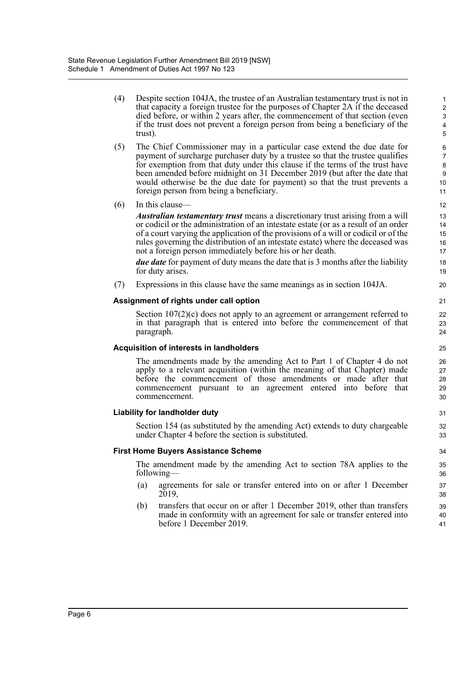(4) Despite section 104JA, the trustee of an Australian testamentary trust is not in that capacity a foreign trustee for the purposes of Chapter 2A if the deceased died before, or within 2 years after, the commencement of that section (even if the trust does not prevent a foreign person from being a beneficiary of the trust).

- (5) The Chief Commissioner may in a particular case extend the due date for payment of surcharge purchaser duty by a trustee so that the trustee qualifies for exemption from that duty under this clause if the terms of the trust have been amended before midnight on 31 December 2019 (but after the date that would otherwise be the due date for payment) so that the trust prevents a foreign person from being a beneficiary.
- (6) In this clause—

*Australian testamentary trust* means a discretionary trust arising from a will or codicil or the administration of an intestate estate (or as a result of an order of a court varying the application of the provisions of a will or codicil or of the rules governing the distribution of an intestate estate) where the deceased was not a foreign person immediately before his or her death.

*due date* for payment of duty means the date that is 3 months after the liability for duty arises.

(7) Expressions in this clause have the same meanings as in section 104JA.

#### **Assignment of rights under call option**

Section  $107(2)(c)$  does not apply to an agreement or arrangement referred to in that paragraph that is entered into before the commencement of that paragraph.

#### **Acquisition of interests in landholders**

The amendments made by the amending Act to Part 1 of Chapter 4 do not apply to a relevant acquisition (within the meaning of that Chapter) made before the commencement of those amendments or made after that commencement pursuant to an agreement entered into before that commencement.

#### **Liability for landholder duty**

Section 154 (as substituted by the amending Act) extends to duty chargeable under Chapter 4 before the section is substituted.

#### **First Home Buyers Assistance Scheme**

The amendment made by the amending Act to section 78A applies to the following—

- (a) agreements for sale or transfer entered into on or after 1 December 2019,
- (b) transfers that occur on or after 1 December 2019, other than transfers made in conformity with an agreement for sale or transfer entered into before 1 December 2019.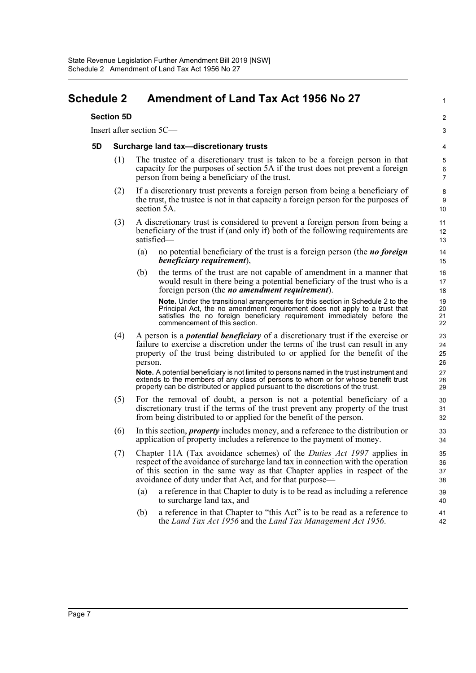# <span id="page-10-0"></span>**Schedule 2 Amendment of Land Tax Act 1956 No 27**

#### **Section 5D**

Insert after section 5C—

#### **5D Surcharge land tax—discretionary trusts**

(1) The trustee of a discretionary trust is taken to be a foreign person in that capacity for the purposes of section 5A if the trust does not prevent a foreign person from being a beneficiary of the trust.

1

 $\overline{2}$ 3

- (2) If a discretionary trust prevents a foreign person from being a beneficiary of the trust, the trustee is not in that capacity a foreign person for the purposes of section 5A.
- (3) A discretionary trust is considered to prevent a foreign person from being a beneficiary of the trust if (and only if) both of the following requirements are satisfied—
	- (a) no potential beneficiary of the trust is a foreign person (the *no foreign beneficiary requirement*),
	- (b) the terms of the trust are not capable of amendment in a manner that would result in there being a potential beneficiary of the trust who is a foreign person (the *no amendment requirement*).

**Note.** Under the transitional arrangements for this section in Schedule 2 to the Principal Act, the no amendment requirement does not apply to a trust that satisfies the no foreign beneficiary requirement immediately before the commencement of this section.

(4) A person is a *potential beneficiary* of a discretionary trust if the exercise or failure to exercise a discretion under the terms of the trust can result in any property of the trust being distributed to or applied for the benefit of the person.

**Note.** A potential beneficiary is not limited to persons named in the trust instrument and extends to the members of any class of persons to whom or for whose benefit trust property can be distributed or applied pursuant to the discretions of the trust.

- (5) For the removal of doubt, a person is not a potential beneficiary of a discretionary trust if the terms of the trust prevent any property of the trust from being distributed to or applied for the benefit of the person.
- (6) In this section, *property* includes money, and a reference to the distribution or application of property includes a reference to the payment of money.
- (7) Chapter 11A (Tax avoidance schemes) of the *Duties Act 1997* applies in respect of the avoidance of surcharge land tax in connection with the operation of this section in the same way as that Chapter applies in respect of the avoidance of duty under that Act, and for that purpose—
	- (a) a reference in that Chapter to duty is to be read as including a reference to surcharge land tax, and
	- (b) a reference in that Chapter to "this Act" is to be read as a reference to the *Land Tax Act 1956* and the *Land Tax Management Act 1956*.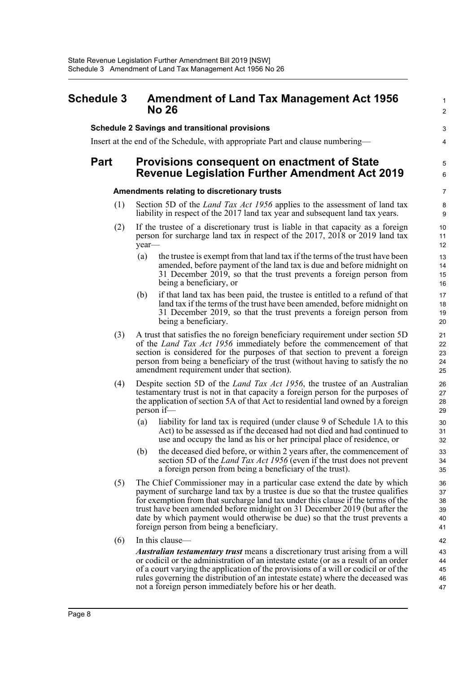## <span id="page-11-0"></span>**Schedule 3 Amendment of Land Tax Management Act 1956 No 26**

#### **Schedule 2 Savings and transitional provisions**

Insert at the end of the Schedule, with appropriate Part and clause numbering—

## **Part Provisions consequent on enactment of State Revenue Legislation Further Amendment Act 2019**

#### **Amendments relating to discretionary trusts**

- (1) Section 5D of the *Land Tax Act 1956* applies to the assessment of land tax liability in respect of the 2017 land tax year and subsequent land tax years.
- (2) If the trustee of a discretionary trust is liable in that capacity as a foreign person for surcharge land tax in respect of the 2017, 2018 or 2019 land tax year—
	- (a) the trustee is exempt from that land tax if the terms of the trust have been amended, before payment of the land tax is due and before midnight on 31 December 2019, so that the trust prevents a foreign person from being a beneficiary, or

1  $\mathcal{L}$ 

3 4

5 6

- (b) if that land tax has been paid, the trustee is entitled to a refund of that land tax if the terms of the trust have been amended, before midnight on 31 December 2019, so that the trust prevents a foreign person from being a beneficiary.
- (3) A trust that satisfies the no foreign beneficiary requirement under section 5D of the *Land Tax Act 1956* immediately before the commencement of that section is considered for the purposes of that section to prevent a foreign person from being a beneficiary of the trust (without having to satisfy the no amendment requirement under that section).
- (4) Despite section 5D of the *Land Tax Act 1956*, the trustee of an Australian testamentary trust is not in that capacity a foreign person for the purposes of the application of section 5A of that Act to residential land owned by a foreign person if—
	- (a) liability for land tax is required (under clause 9 of Schedule 1A to this Act) to be assessed as if the deceased had not died and had continued to use and occupy the land as his or her principal place of residence, or
	- (b) the deceased died before, or within 2 years after, the commencement of section 5D of the *Land Tax Act 1956* (even if the trust does not prevent a foreign person from being a beneficiary of the trust).
- (5) The Chief Commissioner may in a particular case extend the date by which payment of surcharge land tax by a trustee is due so that the trustee qualifies for exemption from that surcharge land tax under this clause if the terms of the trust have been amended before midnight on 31 December 2019 (but after the date by which payment would otherwise be due) so that the trust prevents a foreign person from being a beneficiary.
- (6) In this clause—

*Australian testamentary trust* means a discretionary trust arising from a will or codicil or the administration of an intestate estate (or as a result of an order of a court varying the application of the provisions of a will or codicil or of the rules governing the distribution of an intestate estate) where the deceased was not a foreign person immediately before his or her death.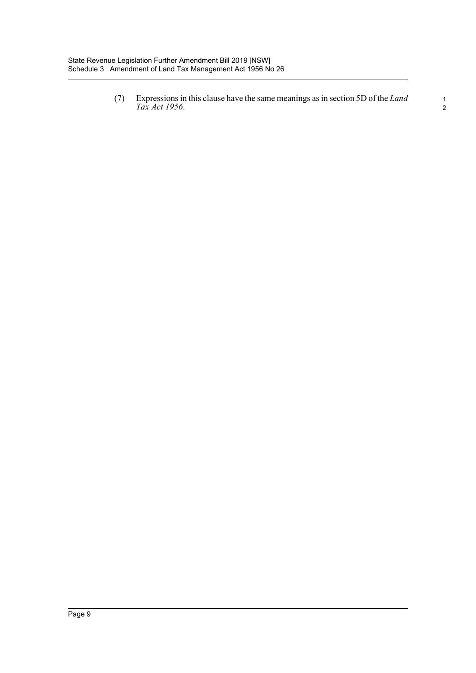(7) Expressions in this clause have the same meanings as in section 5D of the *Land Tax Act 1956*. <sup>1</sup>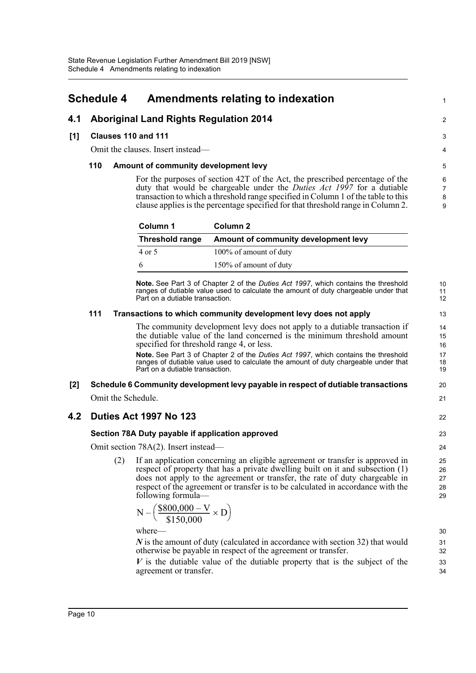# <span id="page-13-0"></span>**Schedule 4 Amendments relating to indexation**

## **4.1 Aboriginal Land Rights Regulation 2014**

#### **[1] Clauses 110 and 111**

Omit the clauses. Insert instead—

#### **110 Amount of community development levy**

For the purposes of section 42T of the Act, the prescribed percentage of the duty that would be chargeable under the *Duties Act 1997* for a dutiable transaction to which a threshold range specified in Column 1 of the table to this clause applies is the percentage specified for that threshold range in Column 2.

1

 $\mathfrak{D}$ 

22

| Column 1               | Column 2                             |
|------------------------|--------------------------------------|
| <b>Threshold range</b> | Amount of community development levy |
| 4 or 5                 | 100% of amount of duty               |
| 6                      | 150% of amount of duty               |

**Note.** See Part 3 of Chapter 2 of the *Duties Act 1997*, which contains the threshold ranges of dutiable value used to calculate the amount of duty chargeable under that Part on a dutiable transaction.

#### **111 Transactions to which community development levy does not apply**

The community development levy does not apply to a dutiable transaction if the dutiable value of the land concerned is the minimum threshold amount specified for threshold range 4, or less.

**Note.** See Part 3 of Chapter 2 of the *Duties Act 1997*, which contains the threshold ranges of dutiable value used to calculate the amount of duty chargeable under that Part on a dutiable transaction.

# **[2] Schedule 6 Community development levy payable in respect of dutiable transactions**

Omit the Schedule.

## **4.2 Duties Act 1997 No 123**

#### **Section 78A Duty payable if application approved**

Omit section 78A(2). Insert instead—

(2) If an application concerning an eligible agreement or transfer is approved in respect of property that has a private dwelling built on it and subsection (1) does not apply to the agreement or transfer, the rate of duty chargeable in respect of the agreement or transfer is to be calculated in accordance with the following formula—

$$
N - \left(\frac{\$800,000 - V}{\$150,000} \times D\right)
$$

where—

*N* is the amount of duty (calculated in accordance with section 32) that would otherwise be payable in respect of the agreement or transfer.

*V* is the dutiable value of the dutiable property that is the subject of the agreement or transfer.